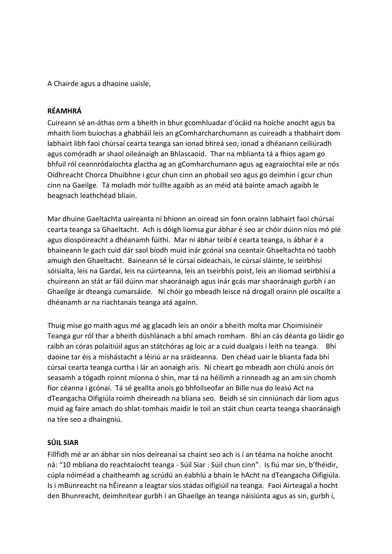A Chairde agus a dhaoine uaisle,

# **RÉAMHRÁ**

Cuireann sé an-áthas orm a bheith in bhur gcomhluadar d'ócáid na hoíche anocht agus ba mhaith liom buíochas a ghabháil leis an gComharcharchumann as cuireadh a thabhairt dom labhairt libh faoi chúrsaí cearta teanga san ionad bhreá seo, ionad a dhéanann ceiliúradh agus comóradh ar shaol oileánaigh an Bhlascaoid. Thar na mblianta tá a fhios agam go bhfuil ról ceannródaíochta glactha ag an gComharchumann agus ag eagraíochtaí eile ar nós Oidhreacht Chorca Dhuibhne i gcur chun cinn an phobail seo agus go deimhin i gcur chun cinn na Gaeilge. Tá moladh mór tuillte agaibh as an méid atá bainte amach agaibh le beagnach leathchéad bliain.

Mar dhuine Gaeltachta uaireanta ní bhíonn an oiread sin fonn orainn labhairt faoi chúrsaí cearta teanga sa Ghaeltacht. Ach is dóigh liomsa gur ábhar é seo ar chóir dúinn níos mó plé agus díospóireacht a dhéanamh fúithi. Mar ní ábhar teibí é cearta teanga, is ábhar é a bhaineann le gach cuid dár saol bíodh muid inár gcónaí sna ceantair Ghaeltachta nó taobh amuigh den Ghaeltacht. Baineann sé le cúrsaí oideachais, le cúrsaí sláinte, le seirbhísí sóisialta, leis na Gardaí, leis na cúirteanna, leis an tseirbhís poist, leis an iliomad seirbhísí a chuireann an stát ar fáil dúinn mar shaoránaigh agus inár gcás mar shaoránaigh gurbh í an Ghaeilge ár dteanga cumarsáide. Ní chóir go mbeadh leisce ná drogall orainn plé oscailte a dhéanamh ar na riachtanais teanga atá againn.

Thuig mise go maith agus mé ag glacadh leis an onóir a bheith molta mar Choimisinéir Teanga gur ról thar a bheith dúshlánach a bhí amach romham. Bhí an cás déanta go láidir go raibh an córas polaitiúil agus an státchóras ag loic ar a cuid dualgais i leith na teanga. Bhí daoine tar éis a míshástacht a léiriú ar na sráideanna. Den chéad uair le blianta fada bhí cúrsaí cearta teanga curtha i lár an aonaigh arís. Ní cheart go mbeadh aon chúlú anois ón seasamh a tógadh roinnt míonna ó shin, mar tá na héilimh a rinneadh ag an am sin chomh fíor céanna i gcónaí. Tá sé geallta anois go bhfoilseofar an Bille nua do leasú Act na dTeangacha Oifigiúla roimh dheireadh na bliana seo. Beidh sé sin cinniúnach dár liom agus muid ag faire amach do shlat-tomhais maidir le toil an stáit chun cearta teanga shaoránaigh na tíre seo a dhaingniú.

#### **SÚIL SIAR**

Fillfidh mé ar an ábhar sin níos deireanaí sa chaint seo ach is í an téama na hoíche anocht ná: "10 mbliana do reachtaíocht teanga - Súil Siar : Súil chun cinn". Is fiú mar sin, b'fhéidir, cúpla nóiméad a chaitheamh ag scrúdú an éabhlú a bhain le hAcht na dTeangacha Oifigiúla. Is i mBunreacht na hÉireann a leagtar síos stádas oifigiúil na teanga. Faoi Airteagal a hocht den Bhunreacht, deimhnítear gurbh í an Ghaeilge an teanga náisiúnta agus as sin, gurbh í,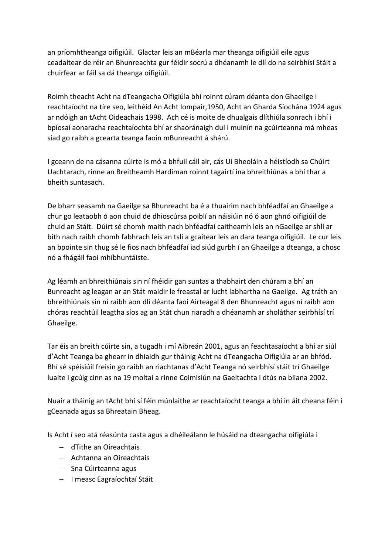an príomhtheanga oifigiúil. Glactar leis an mBéarla mar theanga oifigiúil eile agus ceadaítear de réir an Bhunreachta gur féidir socrú a dhéanamh le dlí do na seirbhísí Stáit a chuirfear ar fáil sa dá theanga oifigiúil.

Roimh theacht Acht na dTeangacha Oifigiúla bhí roinnt cúram déanta don Ghaeilge i reachtaíocht na tíre seo, leithéid An Acht Iompair,1950, Acht an Gharda Síochána 1924 agus ar ndóigh an tAcht Oideachais 1998. Ach cé is moite de dhualgais dlíthiúla sonrach i bhí i bpíosaí aonaracha reachtaíochta bhí ar shaoránaigh dul i muinín na gcúirteanna má mheas siad go raibh a gcearta teanga faoin mBunreacht á shárú.

I gceann de na cásanna cúirte is mó a bhfuil cáil air, cás Uí Bheoláin a héistíodh sa Chúirt Uachtarach, rinne an Breitheamh Hardiman roinnt tagairtí ina bhreithiúnas a bhí thar a bheith suntasach.

De bharr seasamh na Gaeilge sa Bhunreacht ba é a thuairim nach bhféadfaí an Ghaeilge a chur go leataobh ó aon chuid de dhioscúrsa poiblí an náisiúin nó ó aon ghnó oifigiúil de chuid an Stáit. Dúirt sé chomh maith nach bhféadfaí caitheamh leis an nGaeilge ar shlí ar bith nach raibh chomh fabhrach leis an tslí a gcaitear leis an dara teanga oifigiúil. Le cur leis an bpointe sin thug sé le fios nach bhféadfaí iad siúd gurbh í an Ghaeilge a dteanga, a chosc nó a fhágáil faoi mhíbhuntáiste.

Ag léamh an bhreithiúnais sin ní fhéidir gan suntas a thabhairt den chúram a bhí an Bunreacht ag leagan ar an Stát maidir le freastal ar lucht labhartha na Gaeilge. Ag tráth an bhreithiúnais sin ní raibh aon dlí déanta faoi Airteagal 8 den Bhunreacht agus ní raibh aon chóras reachtúil leagtha síos ag an Stát chun riaradh a dhéanamh ar sholáthar seirbhísí trí Ghaeilge.

Tar éis an breith cúirte sin, a tugadh i mí Aibreán 2001, agus an feachtasaíocht a bhí ar siúl d'Acht Teanga ba ghearr in dhiaidh gur tháinig Acht na dTeangacha Oifigiúla ar an bhfód. Bhí sé spéisiúil freisin go raibh an riachtanas d'Acht Teanga nó seirbhísí stáit trí Ghaeilge luaite i gcúig cinn as na 19 moltaí a rinne Coimisiún na Gaeltachta i dtús na bliana 2002.

Nuair a tháinig an tAcht bhí sí féin múnlaithe ar reachtaíocht teanga a bhí in áit cheana féin i gCeanada agus sa Bhreatain Bheag.

Is Acht í seo atá réasúnta casta agus a dhéileálann le húsáid na dteangacha oifigiúla i

- dTithe an Oireachtais
- Achtanna an Oireachtais
- $-$  Sna Cúirteanna agus
- I measc Eagraíochtaí Stáit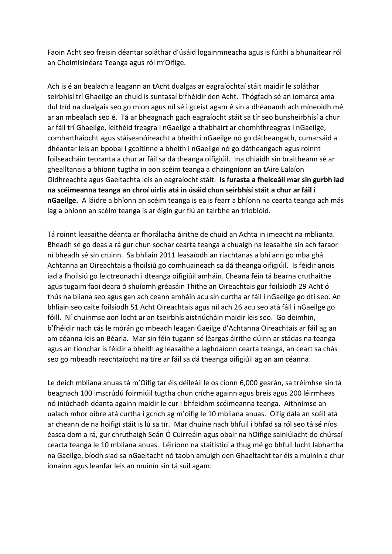Faoin Acht seo freisin déantar soláthar d'úsáid logainmneacha agus is fúithi a bhunaítear ról an Choimisinéara Teanga agus ról m'Oifige.

Ach is é an bealach a leagann an tAcht dualgas ar eagraíochtaí stáit maidir le soláthar seirbhísí trí Ghaeilge an chuid is suntasaí b'fhéidir den Acht. Thógfadh sé an iomarca ama dul tríd na dualgais seo go mion agus níl sé i gceist agam é sin a dhéanamh ach míneoidh mé ar an mbealach seo é. Tá ar bheagnach gach eagraíocht stáit sa tír seo bunsheirbhísí a chur ar fáil trí Ghaeilge, leithéid freagra i nGaeilge a thabhairt ar chomhfhreagras i nGaeilge, comharthaíocht agus stáiseanóireacht a bheith i nGaeilge nó go dátheangach, cumarsáid a dhéantar leis an bpobal i gcoitinne a bheith i nGaeilge nó go dátheangach agus roinnt foilseacháin teoranta a chur ar fáil sa dá theanga oifigiúil. Ina dhiaidh sin braitheann sé ar ghealltanais a bhíonn tugtha in aon scéim teanga a dhaingníonn an tAire Ealaíon Oidhreachta agus Gaeltachta leis an eagraíocht stáit. **Is furasta a fheiceáil mar sin gurbh iad na scéimeanna teanga an chroí uirlis atá in úsáid chun seirbhísí stáit a chur ar fáil i nGaeilge.** A láidre a bhíonn an scéim teanga is ea is fearr a bhíonn na cearta teanga ach más lag a bhíonn an scéim teanga is ar éigin gur fiú an tairbhe an trioblóid.

Tá roinnt leasaithe déanta ar fhorálacha áirithe de chuid an Achta in imeacht na mblianta. Bheadh sé go deas a rá gur chun sochar cearta teanga a chuaigh na leasaithe sin ach faraor ní bheadh sé sin cruinn. Sa bhliain 2011 leasaíodh an riachtanas a bhí ann go mba ghá Achtanna an Oireachtais a fhoilsiú go comhuaineach sa dá theanga oifigiúil. Is féidir anois iad a fhoilsiú go leictreonach i dteanga oifigiúil amháin. Cheana féin tá bearna cruthaithe agus tugaim faoi deara ó shuíomh gréasáin Thithe an Oireachtais gur foilsíodh 29 Acht ó thús na bliana seo agus gan ach ceann amháin acu sin curtha ar fáil i nGaeilge go dtí seo. An bhliain seo caite foilsíodh 51 Acht Oireachtais agus níl ach 26 acu seo atá fáil i nGaeilge go fóill. Ní chuirimse aon locht ar an tseirbhís aistriúcháin maidir leis seo. Go deimhin, b'fhéidir nach cás le mórán go mbeadh leagan Gaeilge d'Achtanna Oireachtais ar fáil ag an am céanna leis an Béarla. Mar sin féin tugann sé léargas áirithe dúinn ar stádas na teanga agus an tionchar is féidir a bheith ag leasaithe a laghdaíonn cearta teanga, an ceart sa chás seo go mbeadh reachtaíocht na tíre ar fáil sa dá theanga oifigiúil ag an am céanna.

Le deich mbliana anuas tá m'Oifig tar éis déileáil le os cionn 6,000 gearán, sa tréimhse sin tá beagnach 100 imscrúdú foirmiúil tugtha chun críche againn agus breis agus 200 léirmheas nó iniúchadh déanta againn maidir le cur i bhfeidhm scéimeanna teanga. Aithnímse an ualach mhór oibre atá curtha i gcrích ag m'oifig le 10 mbliana anuas. Oifig dála an scéil atá ar cheann de na hoifigí stáit is lú sa tír. Mar dhuine nach bhfuil i bhfad sa ról seo tá sé níos éasca dom a rá, gur chruthaigh Seán Ó Cuirreáin agus obair na hOifige sainiúlacht do chúrsaí cearta teanga le 10 mbliana anuas. Léiríonn na staitisticí a thug mé go bhfuil lucht labhartha na Gaeilge, bíodh siad sa nGaeltacht nó taobh amuigh den Ghaeltacht tar éis a muinín a chur ionainn agus leanfar leis an muinín sin tá súil agam.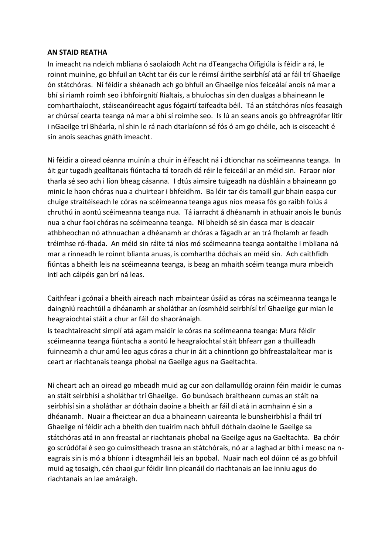#### **AN STAID REATHA**

In imeacht na ndeich mbliana ó saolaíodh Acht na dTeangacha Oifigiúla is féidir a rá, le roinnt muiníne, go bhfuil an tAcht tar éis cur le réimsí áirithe seirbhísí atá ar fáil trí Ghaeilge ón státchóras. Ní féidir a shéanadh ach go bhfuil an Ghaeilge níos feiceálaí anois ná mar a bhí sí riamh roimh seo i bhfoirgnítí Rialtais, a bhuíochas sin den dualgas a bhaineann le comharthaíocht, stáiseanóireacht agus fógairtí taifeadta béil. Tá an státchóras níos feasaigh ar chúrsaí cearta teanga ná mar a bhí sí roimhe seo. Is lú an seans anois go bhfreagrófar litir i nGaeilge trí Bhéarla, ní shin le rá nach dtarlaíonn sé fós ó am go chéile, ach is eisceacht é sin anois seachas gnáth imeacht.

Ní féidir a oiread céanna muinín a chuir in éifeacht ná i dtionchar na scéimeanna teanga. In áit gur tugadh gealltanais fiúntacha tá toradh dá réir le feiceáil ar an méid sin. Faraor níor tharla sé seo ach i líon bheag cásanna. I dtús aimsire tuigeadh na dúshláin a bhaineann go minic le haon chóras nua a chuirtear i bhfeidhm. Ba léir tar éis tamaill gur bhain easpa cur chuige straitéiseach le córas na scéimeanna teanga agus níos measa fós go raibh folús á chruthú in aontú scéimeanna teanga nua. Tá iarracht á dhéanamh in athuair anois le bunús nua a chur faoi chóras na scéimeanna teanga. Ní bheidh sé sin éasca mar is deacair athbheochan nó athnuachan a dhéanamh ar chóras a fágadh ar an trá fholamh ar feadh tréimhse ró-fhada. An méid sin ráite tá níos mó scéimeanna teanga aontaithe i mbliana ná mar a rinneadh le roinnt blianta anuas, is comhartha dóchais an méid sin. Ach caithfidh fiúntas a bheith leis na scéimeanna teanga, is beag an mhaith scéim teanga mura mbeidh inti ach cáipéis gan brí ná leas.

Caithfear i gcónaí a bheith aireach nach mbaintear úsáid as córas na scéimeanna teanga le daingniú reachtúil a dhéanamh ar sholáthar an íosmhéid seirbhísí trí Ghaeilge gur mian le heagraíochtaí stáit a chur ar fáil do shaoránaigh.

Is teachtaireacht simplí atá agam maidir le córas na scéimeanna teanga: Mura féidir scéimeanna teanga fiúntacha a aontú le heagraíochtaí stáit bhfearr gan a thuilleadh fuinneamh a chur amú leo agus córas a chur in áit a chinntíonn go bhfreastalaítear mar is ceart ar riachtanais teanga phobal na Gaeilge agus na Gaeltachta.

Ní cheart ach an oiread go mbeadh muid ag cur aon dallamullóg orainn féin maidir le cumas an stáit seirbhísí a sholáthar trí Ghaeilge. Go bunúsach braitheann cumas an stáit na seirbhísí sin a sholáthar ar dóthain daoine a bheith ar fáil dí atá in acmhainn é sin a dhéanamh. Nuair a fheictear an dua a bhaineann uaireanta le bunsheirbhísí a fháil trí Ghaeilge ní féidir ach a bheith den tuairim nach bhfuil dóthain daoine le Gaeilge sa státchóras atá in ann freastal ar riachtanais phobal na Gaeilge agus na Gaeltachta. Ba chóir go scrúdófaí é seo go cuimsitheach trasna an státchórais, nó ar a laghad ar bith i measc na neagrais sin is mó a bhíonn i dteagmháil leis an bpobal. Nuair nach eol dúinn cé as go bhfuil muid ag tosaigh, cén chaoi gur féidir linn pleanáil do riachtanais an lae inniu agus do riachtanais an lae amáraigh.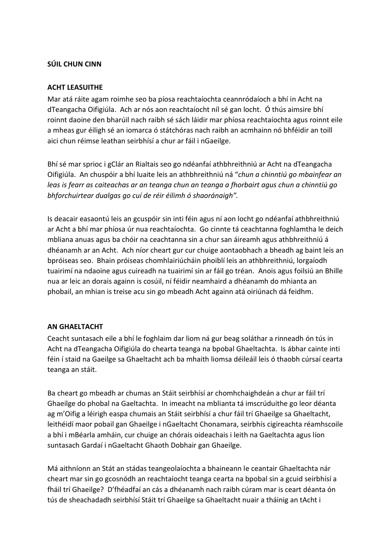### **SÚIL CHUN CINN**

#### **ACHT LEASUITHE**

Mar atá ráite agam roimhe seo ba píosa reachtaíochta ceannródaíoch a bhí in Acht na dTeangacha Oifigiúla. Ach ar nós aon reachtaíocht níl sé gan locht. Ó thús aimsire bhí roinnt daoine den bharúil nach raibh sé sách láidir mar phíosa reachtaíochta agus roinnt eile a mheas gur éiligh sé an iomarca ó státchóras nach raibh an acmhainn nó bhféidir an toill aici chun réimse leathan seirbhísí a chur ar fáil i nGaeilge.

Bhí sé mar sprioc i gClár an Rialtais seo go ndéanfaí athbhreithniú ar Acht na dTeangacha Oifigiúla. An chuspóir a bhí luaite leis an athbhreithniú ná "*chun a chinntiú go mbainfear an leas is fearr as caiteachas ar an teanga chun an teanga a fhorbairt agus chun a chinntiú go bhforchuirtear dualgas go cuí de réir éilimh ó shaoránaigh".*

Is deacair easaontú leis an gcuspóir sin inti féin agus ní aon locht go ndéanfaí athbhreithniú ar Acht a bhí mar phíosa úr nua reachtaíochta. Go cinnte tá ceachtanna foghlamtha le deich mbliana anuas agus ba chóir na ceachtanna sin a chur san áireamh agus athbhreithniú á dhéanamh ar an Acht. Ach níor cheart gur cur chuige aontaobhach a bheadh ag baint leis an bpróiseas seo. Bhain próiseas chomhlairiúcháin phoiblí leis an athbhreithniú, lorgaíodh tuairimí na ndaoine agus cuireadh na tuairimí sin ar fáil go tréan. Anois agus foilsiú an Bhille nua ar leic an dorais againn is cosúil, ní féidir neamhaird a dhéanamh do mhianta an phobail, an mhian is treise acu sin go mbeadh Acht againn atá oiriúnach dá feidhm.

#### **AN GHAELTACHT**

Ceacht suntasach eile a bhí le foghlaim dar liom ná gur beag soláthar a rinneadh ón tús in Acht na dTeangacha Oifigiúla do chearta teanga na bpobal Ghaeltachta. Is ábhar cainte inti féin í staid na Gaeilge sa Ghaeltacht ach ba mhaith liomsa déileáil leis ó thaobh cúrsaí cearta teanga an stáit.

Ba cheart go mbeadh ar chumas an Stáit seirbhísí ar chomhchaighdeán a chur ar fáil trí Ghaeilge do phobal na Gaeltachta. In imeacht na mblianta tá imscrúduithe go leor déanta ag m'Oifig a léirigh easpa chumais an Stáit seirbhísí a chur fáil trí Ghaeilge sa Ghaeltacht, leithéidí maor pobail gan Ghaeilge i nGaeltacht Chonamara, seirbhís cigireachta réamhscoile a bhí i mBéarla amháin, cur chuige an chórais oideachais i leith na Gaeltachta agus líon suntasach Gardaí i nGaeltacht Ghaoth Dobhair gan Ghaeilge.

Má aithníonn an Stát an stádas teangeolaíochta a bhaineann le ceantair Ghaeltachta nár cheart mar sin go gcosnódh an reachtaíocht teanga cearta na bpobal sin a gcuid seirbhísí a fháil trí Ghaeilge? D'fhéadfaí an cás a dhéanamh nach raibh cúram mar is ceart déanta ón tús de sheachadadh seirbhísí Stáit trí Ghaeilge sa Ghaeltacht nuair a tháinig an tAcht i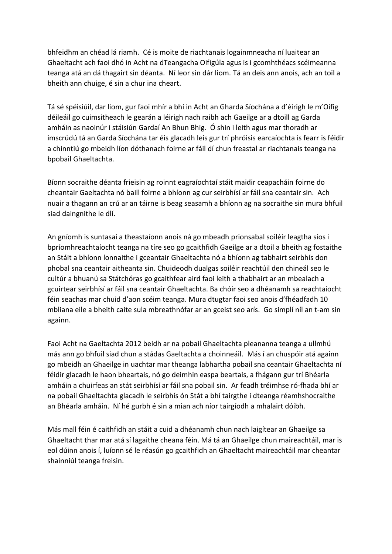bhfeidhm an chéad lá riamh. Cé is moite de riachtanais logainmneacha ní luaitear an Ghaeltacht ach faoi dhó in Acht na dTeangacha Oifigúla agus is i gcomhthéacs scéimeanna teanga atá an dá thagairt sin déanta. Ní leor sin dár liom. Tá an deis ann anois, ach an toil a bheith ann chuige, é sin a chur ina cheart.

Tá sé spéisiúil, dar liom, gur faoi mhír a bhí in Acht an Gharda Síochána a d'éirigh le m'Oifig déileáil go cuimsitheach le gearán a léirigh nach raibh ach Gaeilge ar a dtoill ag Garda amháin as naoinúr i stáisiún Gardaí An Bhun Bhig. Ó shin i leith agus mar thoradh ar imscrúdú tá an Garda Síochána tar éis glacadh leis gur trí phróisis earcaíochta is fearr is féidir a chinntiú go mbeidh líon dóthanach foirne ar fáil dí chun freastal ar riachtanais teanga na bpobail Ghaeltachta.

Bíonn socraithe déanta frieisin ag roinnt eagraíochtaí stáit maidir ceapacháin foirne do cheantair Gaeltachta nó baill foirne a bhíonn ag cur seirbhísí ar fáil sna ceantair sin. Ach nuair a thagann an crú ar an táirne is beag seasamh a bhíonn ag na socraithe sin mura bhfuil siad daingnithe le dlí.

An gníomh is suntasaí a theastaíonn anois ná go mbeadh prionsabal soiléir leagtha síos i bpríomhreachtaíocht teanga na tíre seo go gcaithfidh Gaeilge ar a dtoil a bheith ag fostaithe an Stáit a bhíonn lonnaithe i gceantair Ghaeltachta nó a bhíonn ag tabhairt seirbhís don phobal sna ceantair aitheanta sin. Chuideodh dualgas soiléir reachtúil den chineál seo le cultúr a bhuanú sa Státchóras go gcaithfear aird faoi leith a thabhairt ar an mbealach a gcuirtear seirbhísí ar fáil sna ceantair Ghaeltachta. Ba chóir seo a dhéanamh sa reachtaíocht féin seachas mar chuid d'aon scéim teanga. Mura dtugtar faoi seo anois d'fhéadfadh 10 mbliana eile a bheith caite sula mbreathnófar ar an gceist seo arís. Go simplí níl an t-am sin againn.

Faoi Acht na Gaeltachta 2012 beidh ar na pobail Ghaeltachta pleananna teanga a ullmhú más ann go bhfuil siad chun a stádas Gaeltachta a choinneáil. Más í an chuspóir atá againn go mbeidh an Ghaeilge in uachtar mar theanga labhartha pobail sna ceantair Ghaeltachta ní féidir glacadh le haon bheartais, nó go deimhin easpa beartais, a fhágann gur trí Bhéarla amháin a chuirfeas an stát seirbhísí ar fáil sna pobail sin. Ar feadh tréimhse ró-fhada bhí ar na pobail Ghaeltachta glacadh le seirbhís ón Stát a bhí tairgthe i dteanga réamhshocraithe an Bhéarla amháin. Ní hé gurbh é sin a mian ach níor tairgíodh a mhalairt dóibh.

Más mall féin é caithfidh an stáit a cuid a dhéanamh chun nach laigítear an Ghaeilge sa Ghaeltacht thar mar atá sí lagaithe cheana féin. Má tá an Ghaeilge chun maireachtáil, mar is eol dúinn anois í, luíonn sé le réasún go gcaithfidh an Ghaeltacht maireachtáil mar cheantar shainniúl teanga freisin.